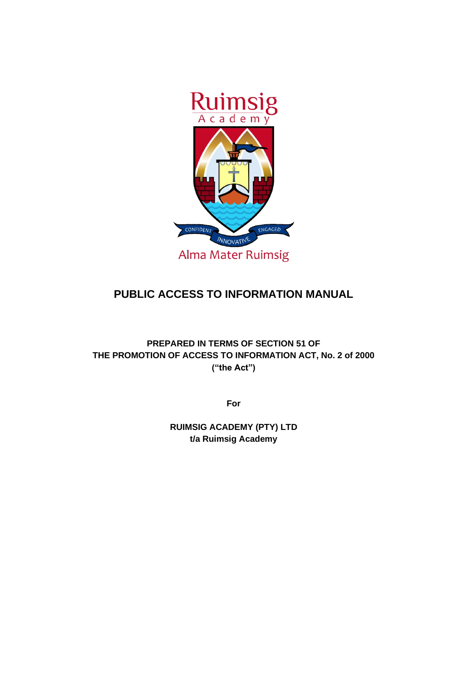

# **PUBLIC ACCESS TO INFORMATION MANUAL**

**PREPARED IN TERMS OF SECTION 51 OF THE PROMOTION OF ACCESS TO INFORMATION ACT, No. 2 of 2000 ("the Act")**

**For**

**RUIMSIG ACADEMY (PTY) LTD t/a Ruimsig Academy**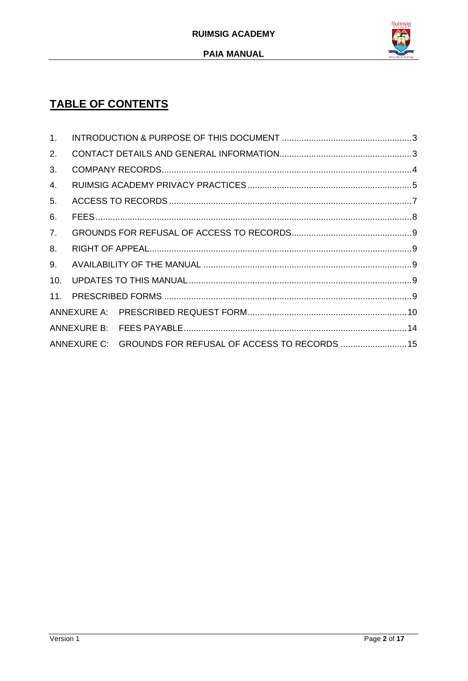

# **TABLE OF CONTENTS**

| 1.                                                       |  |  |  |  |  |
|----------------------------------------------------------|--|--|--|--|--|
| 2.                                                       |  |  |  |  |  |
| 3.                                                       |  |  |  |  |  |
| 4.                                                       |  |  |  |  |  |
| 5.                                                       |  |  |  |  |  |
| 6.                                                       |  |  |  |  |  |
| 7.                                                       |  |  |  |  |  |
| 8.                                                       |  |  |  |  |  |
| 9.                                                       |  |  |  |  |  |
| 10.                                                      |  |  |  |  |  |
|                                                          |  |  |  |  |  |
|                                                          |  |  |  |  |  |
|                                                          |  |  |  |  |  |
| ANNEXURE C: GROUNDS FOR REFUSAL OF ACCESS TO RECORDS  15 |  |  |  |  |  |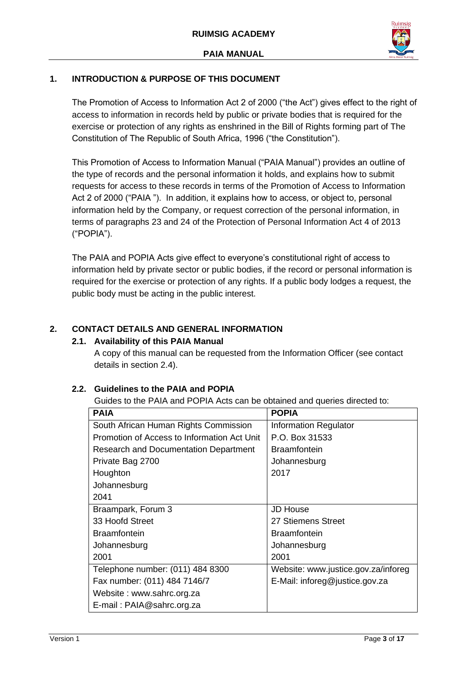

# <span id="page-2-0"></span>**1. INTRODUCTION & PURPOSE OF THIS DOCUMENT**

The Promotion of Access to Information Act 2 of 2000 ("the Act") gives effect to the right of access to information in records held by public or private bodies that is required for the exercise or protection of any rights as enshrined in the Bill of Rights forming part of The Constitution of The Republic of South Africa, 1996 ("the Constitution").

This Promotion of Access to Information Manual ("PAIA Manual") provides an outline of the type of records and the personal information it holds, and explains how to submit requests for access to these records in terms of the Promotion of Access to Information Act 2 of 2000 ("PAIA "). In addition, it explains how to access, or object to, personal information held by the Company, or request correction of the personal information, in terms of paragraphs 23 and 24 of the Protection of Personal Information Act 4 of 2013 ("POPIA").

The PAIA and POPIA Acts give effect to everyone's constitutional right of access to information held by private sector or public bodies, if the record or personal information is required for the exercise or protection of any rights. If a public body lodges a request, the public body must be acting in the public interest.

# <span id="page-2-1"></span>**2. CONTACT DETAILS AND GENERAL INFORMATION**

#### **2.1. Availability of this PAIA Manual**

A copy of this manual can be requested from the Information Officer (see contact details in section 2.4).

#### **2.2. Guidelines to the PAIA and POPIA**

Guides to the PAIA and POPIA Acts can be obtained and queries directed to:

| <b>PAIA</b>                                 | <b>POPIA</b>                        |
|---------------------------------------------|-------------------------------------|
| South African Human Rights Commission       | <b>Information Regulator</b>        |
| Promotion of Access to Information Act Unit | P.O. Box 31533                      |
| Research and Documentation Department       | <b>Braamfontein</b>                 |
| Private Bag 2700                            | Johannesburg                        |
| Houghton                                    | 2017                                |
| Johannesburg                                |                                     |
| 2041                                        |                                     |
| Braampark, Forum 3                          | <b>JD House</b>                     |
| 33 Hoofd Street                             | 27 Stiemens Street                  |
| <b>Braamfontein</b>                         | <b>Braamfontein</b>                 |
| Johannesburg                                | Johannesburg                        |
| 2001                                        | 2001                                |
| Telephone number: (011) 484 8300            | Website: www.justice.gov.za/inforeg |
| Fax number: (011) 484 7146/7                | E-Mail: inforeg@justice.gov.za      |
| Website: www.sahrc.org.za                   |                                     |
| E-mail: PAIA@sahrc.org.za                   |                                     |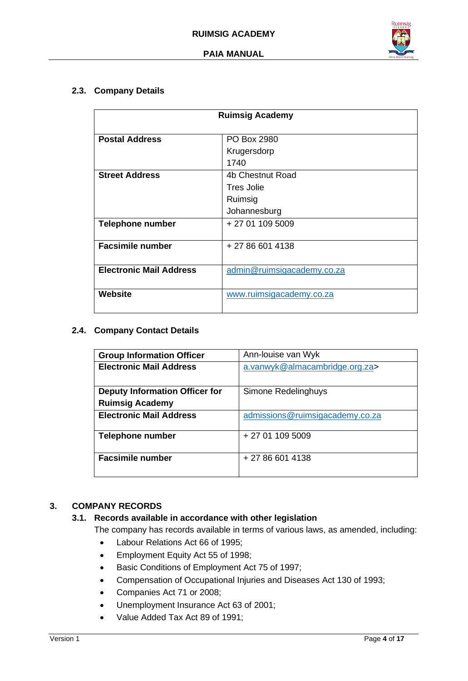

#### **2.3. Company Details**

| <b>Ruimsig Academy</b>         |                            |  |
|--------------------------------|----------------------------|--|
|                                |                            |  |
| <b>Postal Address</b>          | PO Box 2980                |  |
|                                | Krugersdorp                |  |
|                                | 1740                       |  |
| <b>Street Address</b>          | 4b Chestnut Road           |  |
|                                | <b>Tres Jolie</b>          |  |
|                                | Ruimsig                    |  |
|                                | Johannesburg               |  |
| <b>Telephone number</b>        | + 27 01 109 5009           |  |
|                                |                            |  |
| <b>Facsimile number</b>        | + 27 86 601 4138           |  |
|                                |                            |  |
| <b>Electronic Mail Address</b> | admin@ruimsigacademy.co.za |  |
|                                |                            |  |
| <b>Website</b>                 | www.ruimsigacademy.co.za   |  |
|                                |                            |  |

#### **2.4. Company Contact Details**

| <b>Group Information Officer</b>      | Ann-louise van Wyk              |
|---------------------------------------|---------------------------------|
| <b>Electronic Mail Address</b>        | a.vanwyk@almacambridge.org.za>  |
|                                       |                                 |
| <b>Deputy Information Officer for</b> | Simone Redelinghuys             |
| <b>Ruimsig Academy</b>                |                                 |
| <b>Electronic Mail Address</b>        | admissions@ruimsigacademy.co.za |
| <b>Telephone number</b>               | + 27 01 109 5009                |
| <b>Facsimile number</b>               | $+27866014138$                  |

# <span id="page-3-0"></span>**3. COMPANY RECORDS**

#### **3.1. Records available in accordance with other legislation**

The company has records available in terms of various laws, as amended, including:

- Labour Relations Act 66 of 1995;
- Employment Equity Act 55 of 1998;
- Basic Conditions of Employment Act 75 of 1997;
- Compensation of Occupational Injuries and Diseases Act 130 of 1993;
- Companies Act 71 or 2008;
- Unemployment Insurance Act 63 of 2001;
- Value Added Tax Act 89 of 1991;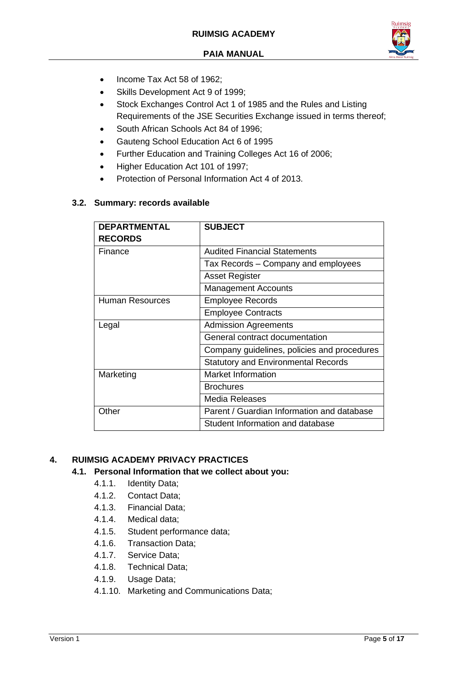

- Income Tax Act 58 of 1962:
- Skills Development Act 9 of 1999;
- Stock Exchanges Control Act 1 of 1985 and the Rules and Listing Requirements of the JSE Securities Exchange issued in terms thereof;
- South African Schools Act 84 of 1996;
- Gauteng School Education Act 6 of 1995
- Further Education and Training Colleges Act 16 of 2006;
- Higher Education Act 101 of 1997;
- Protection of Personal Information Act 4 of 2013.

## **3.2. Summary: records available**

| <b>DEPARTMENTAL</b>    | <b>SUBJECT</b>                              |
|------------------------|---------------------------------------------|
| <b>RECORDS</b>         |                                             |
| Finance                | <b>Audited Financial Statements</b>         |
|                        | Tax Records – Company and employees         |
|                        | <b>Asset Register</b>                       |
|                        | <b>Management Accounts</b>                  |
| <b>Human Resources</b> | <b>Employee Records</b>                     |
|                        | <b>Employee Contracts</b>                   |
| Legal                  | <b>Admission Agreements</b>                 |
|                        | General contract documentation              |
|                        | Company guidelines, policies and procedures |
|                        | <b>Statutory and Environmental Records</b>  |
| Marketing              | <b>Market Information</b>                   |
|                        | <b>Brochures</b>                            |
|                        | Media Releases                              |
| Other                  | Parent / Guardian Information and database  |
|                        | Student Information and database            |

# <span id="page-4-0"></span>**4. RUIMSIG ACADEMY PRIVACY PRACTICES**

#### **4.1. Personal Information that we collect about you:**

- 4.1.1. Identity Data;
- 4.1.2. Contact Data;
- 4.1.3. Financial Data;
- 4.1.4. Medical data;
- 4.1.5. Student performance data;
- 4.1.6. Transaction Data;
- 4.1.7. Service Data;
- 4.1.8. Technical Data;
- 4.1.9. Usage Data;
- 4.1.10. Marketing and Communications Data;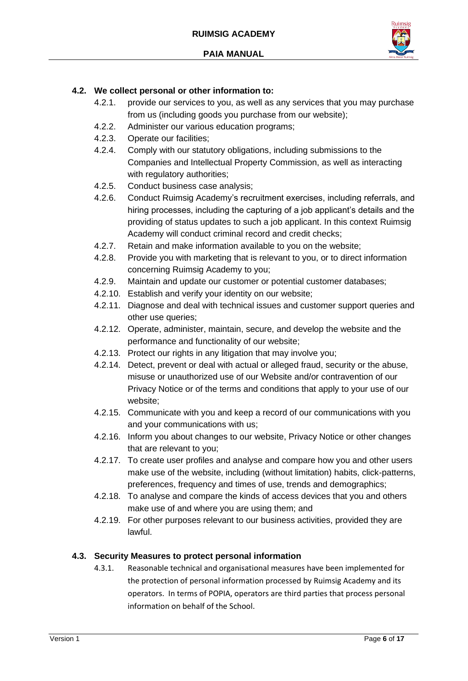

### **4.2. We collect personal or other information to:**

- 4.2.1. provide our services to you, as well as any services that you may purchase from us (including goods you purchase from our website);
- 4.2.2. Administer our various education programs;
- 4.2.3. Operate our facilities;
- 4.2.4. Comply with our statutory obligations, including submissions to the Companies and Intellectual Property Commission, as well as interacting with regulatory authorities;
- 4.2.5. Conduct business case analysis;
- 4.2.6. Conduct Ruimsig Academy's recruitment exercises, including referrals, and hiring processes, including the capturing of a job applicant's details and the providing of status updates to such a job applicant. In this context Ruimsig Academy will conduct criminal record and credit checks;
- 4.2.7. Retain and make information available to you on the website;
- 4.2.8. Provide you with marketing that is relevant to you, or to direct information concerning Ruimsig Academy to you;
- 4.2.9. Maintain and update our customer or potential customer databases;
- 4.2.10. Establish and verify your identity on our website;
- 4.2.11. Diagnose and deal with technical issues and customer support queries and other use queries;
- 4.2.12. Operate, administer, maintain, secure, and develop the website and the performance and functionality of our website;
- 4.2.13. Protect our rights in any litigation that may involve you;
- 4.2.14. Detect, prevent or deal with actual or alleged fraud, security or the abuse, misuse or unauthorized use of our Website and/or contravention of our Privacy Notice or of the terms and conditions that apply to your use of our website;
- 4.2.15. Communicate with you and keep a record of our communications with you and your communications with us;
- 4.2.16. Inform you about changes to our website, Privacy Notice or other changes that are relevant to you;
- 4.2.17. To create user profiles and analyse and compare how you and other users make use of the website, including (without limitation) habits, click-patterns, preferences, frequency and times of use, trends and demographics;
- 4.2.18. To analyse and compare the kinds of access devices that you and others make use of and where you are using them; and
- 4.2.19. For other purposes relevant to our business activities, provided they are lawful.

#### **4.3. Security Measures to protect personal information**

4.3.1. Reasonable technical and organisational measures have been implemented for the protection of personal information processed by Ruimsig Academy and its operators. In terms of POPIA, operators are third parties that process personal information on behalf of the School.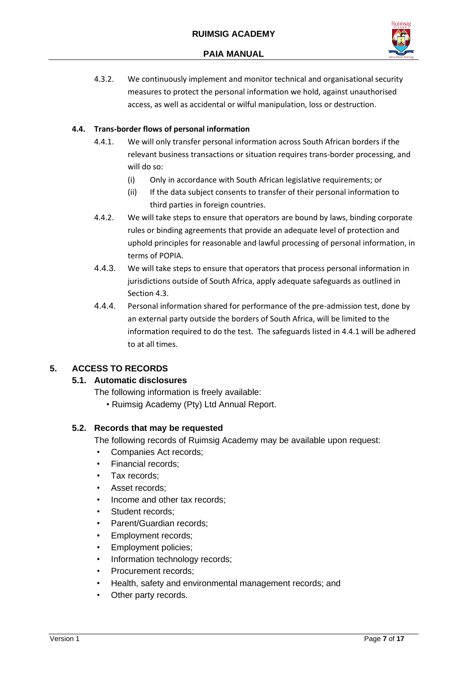

4.3.2. We continuously implement and monitor technical and organisational security measures to protect the personal information we hold, against unauthorised access, as well as accidental or wilful manipulation, loss or destruction.

#### **4.4. Trans-border flows of personal information**

- 4.4.1. We will only transfer personal information across South African borders if the relevant business transactions or situation requires trans-border processing, and will do so:
	- (i) Only in accordance with South African legislative requirements; or
	- (ii) If the data subject consents to transfer of their personal information to third parties in foreign countries.
- 4.4.2. We will take steps to ensure that operators are bound by laws, binding corporate rules or binding agreements that provide an adequate level of protection and uphold principles for reasonable and lawful processing of personal information, in terms of POPIA.
- 4.4.3. We will take steps to ensure that operators that process personal information in jurisdictions outside of South Africa, apply adequate safeguards as outlined in Section 4.3.
- 4.4.4. Personal information shared for performance of the pre-admission test, done by an external party outside the borders of South Africa, will be limited to the information required to do the test. The safeguards listed in 4.4.1 will be adhered to at all times.

# <span id="page-6-0"></span>**5. ACCESS TO RECORDS**

# **5.1. Automatic disclosures**

The following information is freely available:

• Ruimsig Academy (Pty) Ltd Annual Report.

# **5.2. Records that may be requested**

The following records of Ruimsig Academy may be available upon request:

- Companies Act records;
- Financial records;
- Tax records;
- Asset records:
- Income and other tax records:
- Student records;
- Parent/Guardian records:
- Employment records;
- Employment policies;
- Information technology records;
- Procurement records:
- Health, safety and environmental management records; and
- Other party records.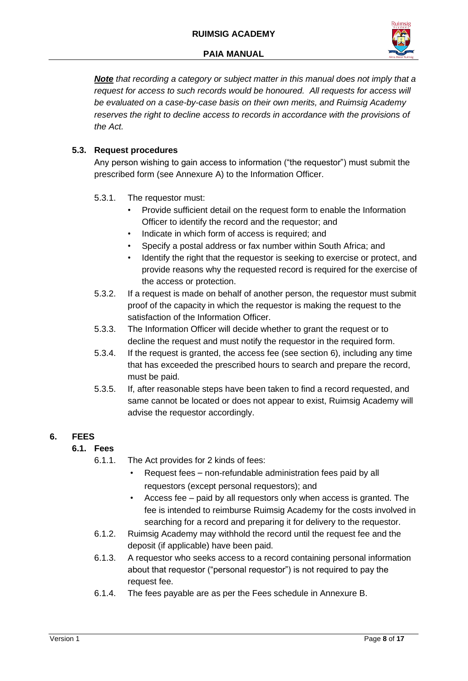

*Note that recording a category or subject matter in this manual does not imply that a request for access to such records would be honoured. All requests for access will be evaluated on a case-by-case basis on their own merits, and Ruimsig Academy* reserves the right to decline access to records in accordance with the provisions of *the Act.* 

# **5.3. Request procedures**

Any person wishing to gain access to information ("the requestor") must submit the prescribed form (see Annexure A) to the Information Officer.

- 5.3.1. The requestor must:
	- Provide sufficient detail on the request form to enable the Information Officer to identify the record and the requestor; and
	- Indicate in which form of access is required; and
	- Specify a postal address or fax number within South Africa; and
	- Identify the right that the requestor is seeking to exercise or protect, and provide reasons why the requested record is required for the exercise of the access or protection.
- 5.3.2. If a request is made on behalf of another person, the requestor must submit proof of the capacity in which the requestor is making the request to the satisfaction of the Information Officer.
- 5.3.3. The Information Officer will decide whether to grant the request or to decline the request and must notify the requestor in the required form.
- 5.3.4. If the request is granted, the access fee (see section 6), including any time that has exceeded the prescribed hours to search and prepare the record, must be paid.
- 5.3.5. If, after reasonable steps have been taken to find a record requested, and same cannot be located or does not appear to exist, Ruimsig Academy will advise the requestor accordingly.

# <span id="page-7-0"></span>**6. FEES**

# **6.1. Fees**

- 6.1.1. The Act provides for 2 kinds of fees:
	- Request fees non-refundable administration fees paid by all requestors (except personal requestors); and
	- Access fee paid by all requestors only when access is granted. The fee is intended to reimburse Ruimsig Academy for the costs involved in searching for a record and preparing it for delivery to the requestor.
- 6.1.2. Ruimsig Academy may withhold the record until the request fee and the deposit (if applicable) have been paid.
- 6.1.3. A requestor who seeks access to a record containing personal information about that requestor ("personal requestor") is not required to pay the request fee.
- 6.1.4. The fees payable are as per the Fees schedule in Annexure B.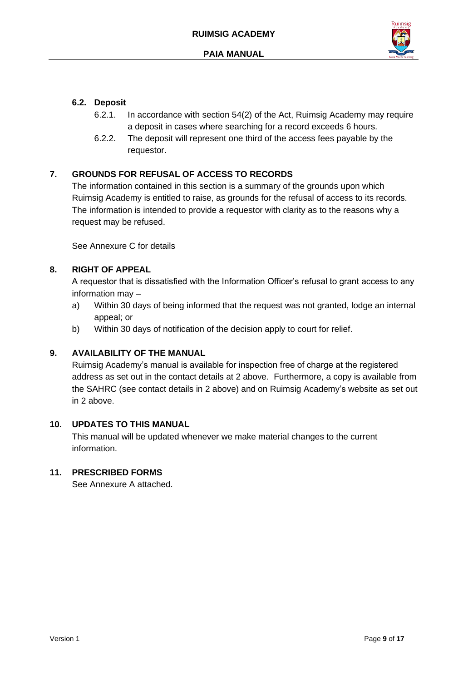

## **6.2. Deposit**

- 6.2.1. In accordance with section 54(2) of the Act, Ruimsig Academy may require a deposit in cases where searching for a record exceeds 6 hours.
- 6.2.2. The deposit will represent one third of the access fees payable by the requestor.

# <span id="page-8-0"></span>**7. GROUNDS FOR REFUSAL OF ACCESS TO RECORDS**

The information contained in this section is a summary of the grounds upon which Ruimsig Academy is entitled to raise, as grounds for the refusal of access to its records. The information is intended to provide a requestor with clarity as to the reasons why a request may be refused.

See Annexure C for details

## <span id="page-8-1"></span>**8. RIGHT OF APPEAL**

A requestor that is dissatisfied with the Information Officer's refusal to grant access to any information may –

- a) Within 30 days of being informed that the request was not granted, lodge an internal appeal; or
- b) Within 30 days of notification of the decision apply to court for relief.

#### <span id="page-8-2"></span>**9. AVAILABILITY OF THE MANUAL**

Ruimsig Academy's manual is available for inspection free of charge at the registered address as set out in the contact details at 2 above. Furthermore, a copy is available from the SAHRC (see contact details in 2 above) and on Ruimsig Academy's website as set out in 2 above.

#### <span id="page-8-3"></span>**10. UPDATES TO THIS MANUAL**

This manual will be updated whenever we make material changes to the current information.

# <span id="page-8-4"></span>**11. PRESCRIBED FORMS**

See Annexure A attached.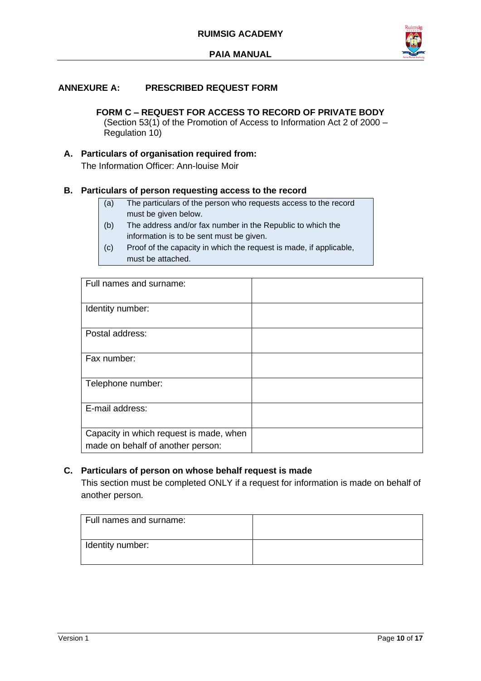

#### <span id="page-9-0"></span>**ANNEXURE A: PRESCRIBED REQUEST FORM**

**FORM C – REQUEST FOR ACCESS TO RECORD OF PRIVATE BODY** (Section 53(1) of the Promotion of Access to Information Act 2 of 2000 – Regulation 10)

# **A. Particulars of organisation required from:**

The Information Officer: Ann-louise Moir

#### **B. Particulars of person requesting access to the record**

- (a) The particulars of the person who requests access to the record must be given below.
- (b) The address and/or fax number in the Republic to which the information is to be sent must be given.
- (c) Proof of the capacity in which the request is made, if applicable, must be attached.

| Full names and surname:                 |  |
|-----------------------------------------|--|
| Identity number:                        |  |
| Postal address:                         |  |
| Fax number:                             |  |
| Telephone number:                       |  |
| E-mail address:                         |  |
| Capacity in which request is made, when |  |
| made on behalf of another person:       |  |

#### **C. Particulars of person on whose behalf request is made**

This section must be completed ONLY if a request for information is made on behalf of another person.

| Full names and surname: |  |
|-------------------------|--|
| Identity number:        |  |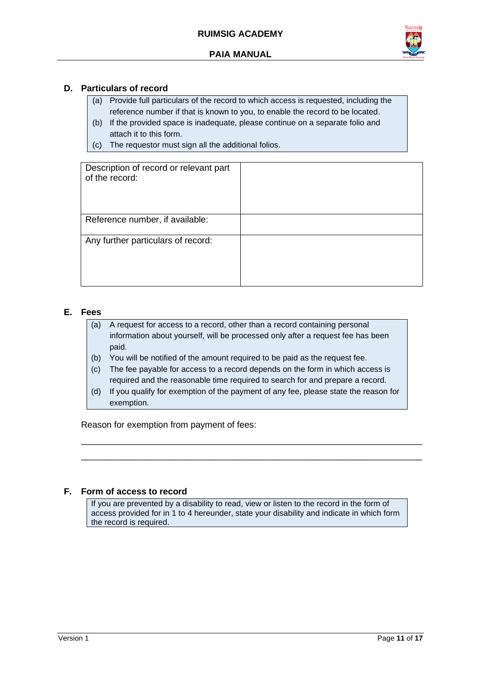

#### **D. Particulars of record**

- (a) Provide full particulars of the record to which access is requested, including the reference number if that is known to you, to enable the record to be located.
- (b) If the provided space is inadequate, please continue on a separate folio and attach it to this form.
- (c) The requestor must sign all the additional folios.

| Description of record or relevant part<br>of the record: |  |
|----------------------------------------------------------|--|
| Reference number, if available:                          |  |
| Any further particulars of record:                       |  |

#### **E. Fees**

- (a) A request for access to a record, other than a record containing personal information about yourself, will be processed only after a request fee has been paid.
- (b) You will be notified of the amount required to be paid as the request fee.
- (c) The fee payable for access to a record depends on the form in which access is required and the reasonable time required to search for and prepare a record.
- (d) If you qualify for exemption of the payment of any fee, please state the reason for exemption.

\_\_\_\_\_\_\_\_\_\_\_\_\_\_\_\_\_\_\_\_\_\_\_\_\_\_\_\_\_\_\_\_\_\_\_\_\_\_\_\_\_\_\_\_\_\_\_\_\_\_\_\_\_\_\_\_\_\_\_\_\_\_\_\_\_\_\_\_\_ \_\_\_\_\_\_\_\_\_\_\_\_\_\_\_\_\_\_\_\_\_\_\_\_\_\_\_\_\_\_\_\_\_\_\_\_\_\_\_\_\_\_\_\_\_\_\_\_\_\_\_\_\_\_\_\_\_\_\_\_\_\_\_\_\_\_\_\_\_

Reason for exemption from payment of fees:

#### **F. Form of access to record**

If you are prevented by a disability to read, view or listen to the record in the form of access provided for in 1 to 4 hereunder, state your disability and indicate in which form the record is required.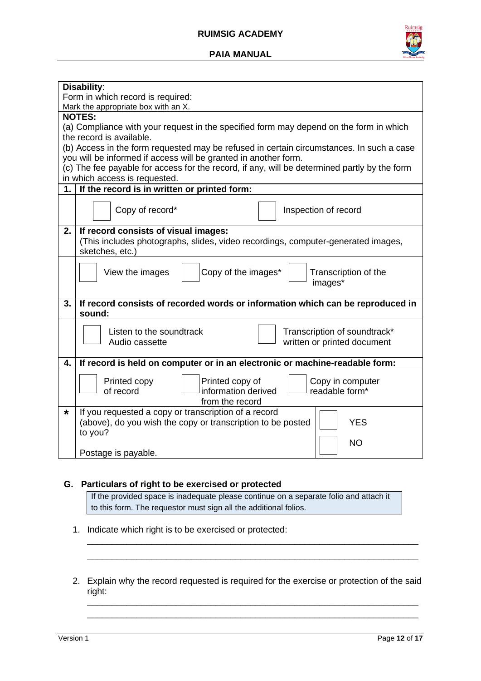#### **RUIMSIG ACADEMY**





|    | Disability:                                                                                  |  |  |  |
|----|----------------------------------------------------------------------------------------------|--|--|--|
|    | Form in which record is required:                                                            |  |  |  |
|    | Mark the appropriate box with an X.                                                          |  |  |  |
|    | <b>NOTES:</b>                                                                                |  |  |  |
|    | (a) Compliance with your request in the specified form may depend on the form in which       |  |  |  |
|    | the record is available.                                                                     |  |  |  |
|    | (b) Access in the form requested may be refused in certain circumstances. In such a case     |  |  |  |
|    | you will be informed if access will be granted in another form.                              |  |  |  |
|    | (c) The fee payable for access for the record, if any, will be determined partly by the form |  |  |  |
|    | in which access is requested.                                                                |  |  |  |
| 1. | If the record is in written or printed form:                                                 |  |  |  |
|    |                                                                                              |  |  |  |
|    | Copy of record*<br>Inspection of record                                                      |  |  |  |
|    |                                                                                              |  |  |  |
| 2. | If record consists of visual images:                                                         |  |  |  |
|    | (This includes photographs, slides, video recordings, computer-generated images,             |  |  |  |
|    | sketches, etc.)                                                                              |  |  |  |
|    |                                                                                              |  |  |  |
|    | Copy of the images*<br>View the images<br>Transcription of the                               |  |  |  |
|    | images*                                                                                      |  |  |  |
|    |                                                                                              |  |  |  |
| 3. | If record consists of recorded words or information which can be reproduced in               |  |  |  |
|    | sound:                                                                                       |  |  |  |
|    | Listen to the soundtrack<br>Transcription of soundtrack*                                     |  |  |  |
|    | Audio cassette<br>written or printed document                                                |  |  |  |
|    |                                                                                              |  |  |  |
| 4. | If record is held on computer or in an electronic or machine-readable form:                  |  |  |  |
|    |                                                                                              |  |  |  |
|    | Printed copy<br>Printed copy of<br>Copy in computer                                          |  |  |  |
|    | information derived<br>readable form*<br>of record                                           |  |  |  |
|    | from the record                                                                              |  |  |  |
| *  | If you requested a copy or transcription of a record                                         |  |  |  |
|    | (above), do you wish the copy or transcription to be posted<br><b>YES</b>                    |  |  |  |
|    | to you?                                                                                      |  |  |  |
|    | <b>NO</b>                                                                                    |  |  |  |
|    | Postage is payable.                                                                          |  |  |  |

#### **G. Particulars of right to be exercised or protected**

If the provided space is inadequate please continue on a separate folio and attach it to this form. The requestor must sign all the additional folios.

- 1. Indicate which right is to be exercised or protected:
- 2. Explain why the record requested is required for the exercise or protection of the said right:

\_\_\_\_\_\_\_\_\_\_\_\_\_\_\_\_\_\_\_\_\_\_\_\_\_\_\_\_\_\_\_\_\_\_\_\_\_\_\_\_\_\_\_\_\_\_\_\_\_\_\_\_\_\_\_\_\_\_\_\_\_\_\_\_\_\_\_ \_\_\_\_\_\_\_\_\_\_\_\_\_\_\_\_\_\_\_\_\_\_\_\_\_\_\_\_\_\_\_\_\_\_\_\_\_\_\_\_\_\_\_\_\_\_\_\_\_\_\_\_\_\_\_\_\_\_\_\_\_\_\_\_\_\_\_

\_\_\_\_\_\_\_\_\_\_\_\_\_\_\_\_\_\_\_\_\_\_\_\_\_\_\_\_\_\_\_\_\_\_\_\_\_\_\_\_\_\_\_\_\_\_\_\_\_\_\_\_\_\_\_\_\_\_\_\_\_\_\_\_\_\_\_ \_\_\_\_\_\_\_\_\_\_\_\_\_\_\_\_\_\_\_\_\_\_\_\_\_\_\_\_\_\_\_\_\_\_\_\_\_\_\_\_\_\_\_\_\_\_\_\_\_\_\_\_\_\_\_\_\_\_\_\_\_\_\_\_\_\_\_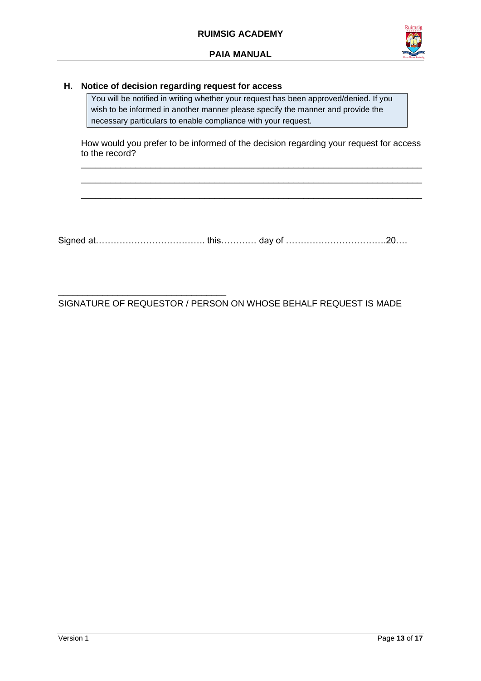

#### **H. Notice of decision regarding request for access**

\_\_\_\_\_\_\_\_\_\_\_\_\_\_\_\_\_\_\_\_\_\_\_\_\_\_\_\_\_\_\_\_\_\_

You will be notified in writing whether your request has been approved/denied. If you wish to be informed in another manner please specify the manner and provide the necessary particulars to enable compliance with your request.

How would you prefer to be informed of the decision regarding your request for access to the record? \_\_\_\_\_\_\_\_\_\_\_\_\_\_\_\_\_\_\_\_\_\_\_\_\_\_\_\_\_\_\_\_\_\_\_\_\_\_\_\_\_\_\_\_\_\_\_\_\_\_\_\_\_\_\_\_\_\_\_\_\_\_\_\_\_\_\_\_\_

\_\_\_\_\_\_\_\_\_\_\_\_\_\_\_\_\_\_\_\_\_\_\_\_\_\_\_\_\_\_\_\_\_\_\_\_\_\_\_\_\_\_\_\_\_\_\_\_\_\_\_\_\_\_\_\_\_\_\_\_\_\_\_\_\_\_\_\_\_ \_\_\_\_\_\_\_\_\_\_\_\_\_\_\_\_\_\_\_\_\_\_\_\_\_\_\_\_\_\_\_\_\_\_\_\_\_\_\_\_\_\_\_\_\_\_\_\_\_\_\_\_\_\_\_\_\_\_\_\_\_\_\_\_\_\_\_\_\_

Signed at………………………………. this………… day of …………………………….20….

SIGNATURE OF REQUESTOR / PERSON ON WHOSE BEHALF REQUEST IS MADE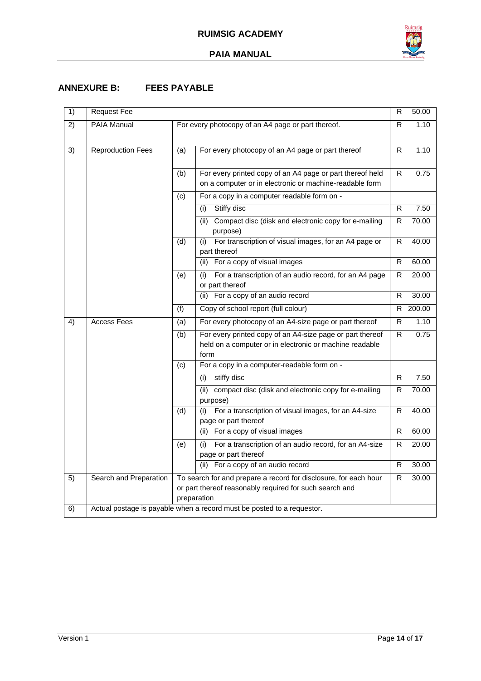

## <span id="page-13-0"></span>**ANNEXURE B: FEES PAYABLE**

| 1)              | <b>Request Fee</b>                                                     |     |                                                                                                                                            | R              | 50.00  |
|-----------------|------------------------------------------------------------------------|-----|--------------------------------------------------------------------------------------------------------------------------------------------|----------------|--------|
| 2)              | <b>PAIA Manual</b>                                                     |     | For every photocopy of an A4 page or part thereof.                                                                                         |                | 1.10   |
| $\overline{3)}$ | <b>Reproduction Fees</b>                                               | (a) | For every photocopy of an A4 page or part thereof                                                                                          | R              | 1.10   |
|                 |                                                                        | (b) | For every printed copy of an A4 page or part thereof held<br>on a computer or in electronic or machine-readable form                       | R.             | 0.75   |
|                 |                                                                        | (c) | For a copy in a computer readable form on -                                                                                                |                |        |
|                 |                                                                        |     | Stiffy disc<br>(i)                                                                                                                         | R.             | 7.50   |
|                 |                                                                        |     | Compact disc (disk and electronic copy for e-mailing<br>(ii)<br>purpose)                                                                   | R              | 70.00  |
|                 |                                                                        | (d) | For transcription of visual images, for an A4 page or<br>(i)<br>part thereof                                                               | R.             | 40.00  |
|                 |                                                                        |     | For a copy of visual images<br>(ii)                                                                                                        | R.             | 60.00  |
|                 |                                                                        | (e) | For a transcription of an audio record, for an A4 page<br>(i)<br>or part thereof                                                           | R              | 20.00  |
|                 |                                                                        |     | (ii) For a copy of an audio record                                                                                                         | R              | 30.00  |
|                 |                                                                        | (f) | Copy of school report (full colour)                                                                                                        | R.             | 200.00 |
| $\overline{4}$  | <b>Access Fees</b>                                                     | (a) | For every photocopy of an A4-size page or part thereof                                                                                     | R              | 1.10   |
|                 |                                                                        | (b) | For every printed copy of an A4-size page or part thereof<br>held on a computer or in electronic or machine readable<br>form               | R.             | 0.75   |
|                 |                                                                        | (c) | For a copy in a computer-readable form on -                                                                                                |                |        |
|                 |                                                                        |     | stiffy disc<br>(i)                                                                                                                         | $\overline{R}$ | 7.50   |
|                 |                                                                        |     | (ii)<br>compact disc (disk and electronic copy for e-mailing<br>purpose)                                                                   | R              | 70.00  |
|                 |                                                                        | (d) | For a transcription of visual images, for an A4-size<br>(i)<br>page or part thereof                                                        | R.             | 40.00  |
|                 |                                                                        |     | For a copy of visual images<br>(ii)                                                                                                        | R.             | 60.00  |
|                 |                                                                        | (e) | For a transcription of an audio record, for an A4-size<br>(i)<br>page or part thereof                                                      | R.             | 20.00  |
|                 |                                                                        |     | For a copy of an audio record<br>(ii)                                                                                                      | R.             | 30.00  |
| 5)              | Search and Preparation                                                 |     | To search for and prepare a record for disclosure, for each hour<br>or part thereof reasonably required for such search and<br>preparation | R              | 30.00  |
| 6)              | Actual postage is payable when a record must be posted to a requestor. |     |                                                                                                                                            |                |        |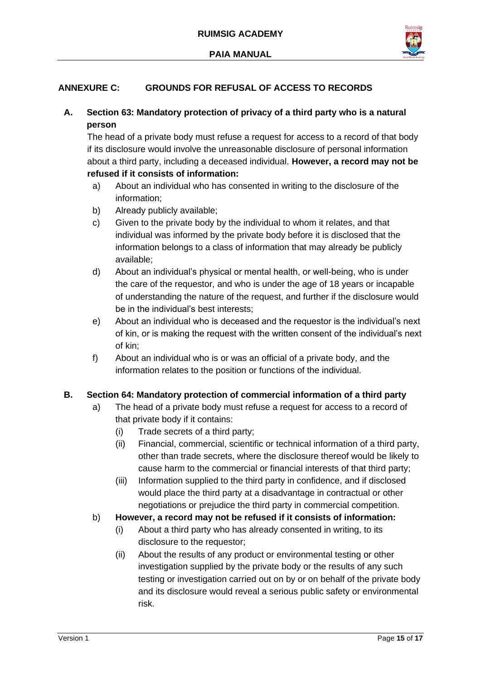

# <span id="page-14-0"></span>**ANNEXURE C: GROUNDS FOR REFUSAL OF ACCESS TO RECORDS**

# **A. Section 63: Mandatory protection of privacy of a third party who is a natural person**

The head of a private body must refuse a request for access to a record of that body if its disclosure would involve the unreasonable disclosure of personal information about a third party, including a deceased individual. **However, a record may not be refused if it consists of information:** 

- a) About an individual who has consented in writing to the disclosure of the information;
- b) Already publicly available;
- c) Given to the private body by the individual to whom it relates, and that individual was informed by the private body before it is disclosed that the information belongs to a class of information that may already be publicly available;
- d) About an individual's physical or mental health, or well-being, who is under the care of the requestor, and who is under the age of 18 years or incapable of understanding the nature of the request, and further if the disclosure would be in the individual's best interests;
- e) About an individual who is deceased and the requestor is the individual's next of kin, or is making the request with the written consent of the individual's next of kin;
- f) About an individual who is or was an official of a private body, and the information relates to the position or functions of the individual.

## **B. Section 64: Mandatory protection of commercial information of a third party**

- a) The head of a private body must refuse a request for access to a record of that private body if it contains:
	- (i) Trade secrets of a third party;
	- (ii) Financial, commercial, scientific or technical information of a third party, other than trade secrets, where the disclosure thereof would be likely to cause harm to the commercial or financial interests of that third party;
	- (iii) Information supplied to the third party in confidence, and if disclosed would place the third party at a disadvantage in contractual or other negotiations or prejudice the third party in commercial competition.
- b) **However, a record may not be refused if it consists of information:** 
	- (i) About a third party who has already consented in writing, to its disclosure to the requestor;
	- (ii) About the results of any product or environmental testing or other investigation supplied by the private body or the results of any such testing or investigation carried out on by or on behalf of the private body and its disclosure would reveal a serious public safety or environmental risk.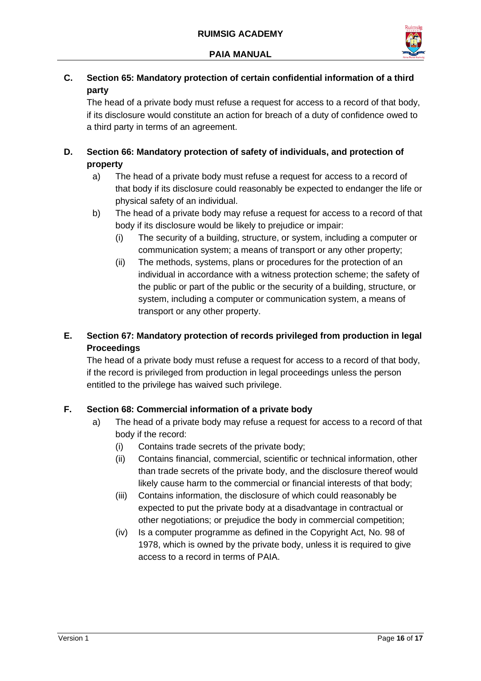

# **C. Section 65: Mandatory protection of certain confidential information of a third party**

The head of a private body must refuse a request for access to a record of that body, if its disclosure would constitute an action for breach of a duty of confidence owed to a third party in terms of an agreement.

# **D. Section 66: Mandatory protection of safety of individuals, and protection of property**

- a) The head of a private body must refuse a request for access to a record of that body if its disclosure could reasonably be expected to endanger the life or physical safety of an individual.
- b) The head of a private body may refuse a request for access to a record of that body if its disclosure would be likely to prejudice or impair:
	- (i) The security of a building, structure, or system, including a computer or communication system; a means of transport or any other property;
	- (ii) The methods, systems, plans or procedures for the protection of an individual in accordance with a witness protection scheme; the safety of the public or part of the public or the security of a building, structure, or system, including a computer or communication system, a means of transport or any other property.

# **E. Section 67: Mandatory protection of records privileged from production in legal Proceedings**

The head of a private body must refuse a request for access to a record of that body, if the record is privileged from production in legal proceedings unless the person entitled to the privilege has waived such privilege.

# **F. Section 68: Commercial information of a private body**

- a) The head of a private body may refuse a request for access to a record of that body if the record:
	- (i) Contains trade secrets of the private body;
	- (ii) Contains financial, commercial, scientific or technical information, other than trade secrets of the private body, and the disclosure thereof would likely cause harm to the commercial or financial interests of that body;
	- (iii) Contains information, the disclosure of which could reasonably be expected to put the private body at a disadvantage in contractual or other negotiations; or prejudice the body in commercial competition;
	- (iv) Is a computer programme as defined in the Copyright Act, No. 98 of 1978, which is owned by the private body, unless it is required to give access to a record in terms of PAIA.